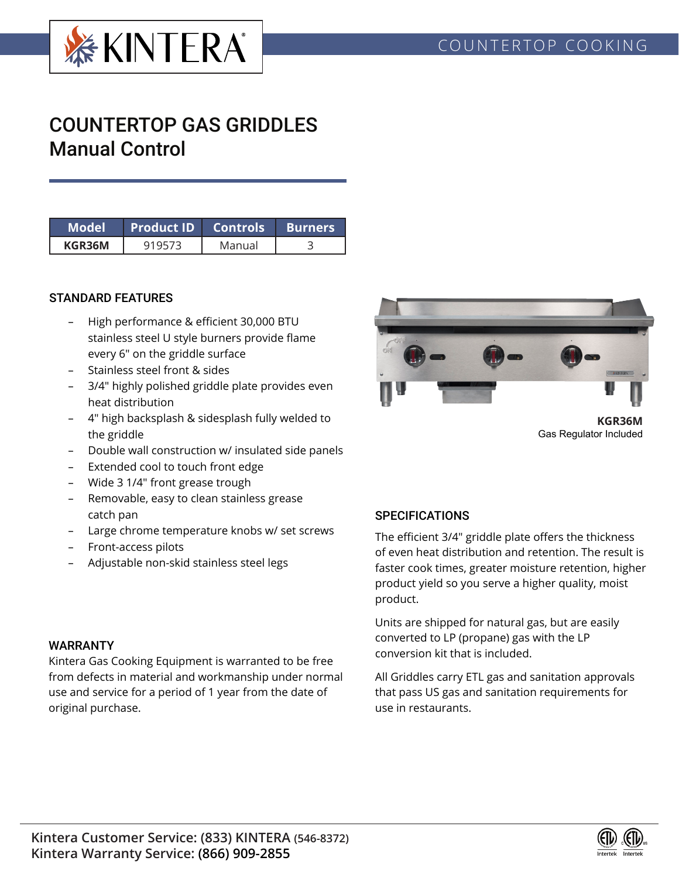

# COUNTERTOP GAS GRIDDLES Manual Control

| Model  | Product ID Controls |        | <b>Burners</b> |  |  |
|--------|---------------------|--------|----------------|--|--|
| KGR36M |                     | Manual |                |  |  |

### STANDARD FEATURES

- High performance & efficient 30,000 BTU stainless steel U style burners provide flame every 6" on the griddle surface
- Stainless steel front & sides
- 3/4" highly polished griddle plate provides even heat distribution
- 4" high backsplash & sidesplash fully welded to the griddle
- Double wall construction w/ insulated side panels
- Extended cool to touch front edge
- Wide 3 1/4" front grease trough
- Removable, easy to clean stainless grease catch pan
- Large chrome temperature knobs w/ set screws
- Front-access pilots
- Adjustable non-skid stainless steel legs



**KGR36M** Gas Regulator Included

### **SPECIFICATIONS**

The efficient 3/4" griddle plate offers the thickness of even heat distribution and retention. The result is faster cook times, greater moisture retention, higher product yield so you serve a higher quality, moist product.

Units are shipped for natural gas, but are easily converted to LP (propane) gas with the LP conversion kit that is included.

All Griddles carry ETL gas and sanitation approvals that pass US gas and sanitation requirements for use in restaurants.

#### WARRANTY

Kintera Gas Cooking Equipment is warranted to be free from defects in material and workmanship under normal use and service for a period of 1 year from the date of original purchase.